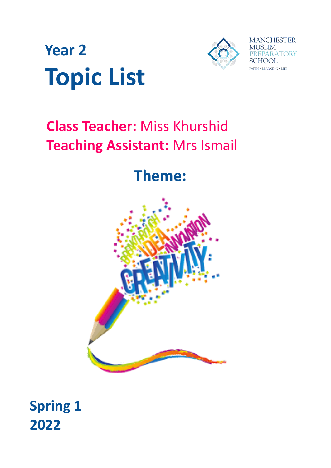



# **Class Teacher:** Miss Khurshid **Teaching Assistant:** Mrs Ismail

# **Theme:**



**Spring 1 2022**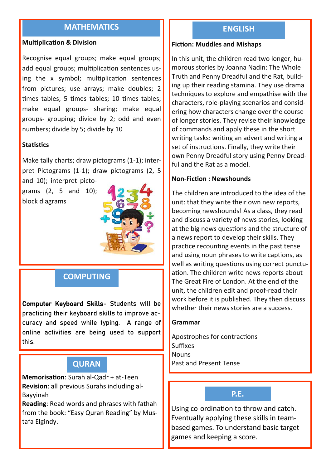## **MATHEMATICS**

#### **Multiplication & Division**

Recognise equal groups; make equal groups; add equal groups; multiplication sentences using the x symbol; multiplication sentences from pictures; use arrays; make doubles; 2 times tables; 5 times tables; 10 times tables; make equal groups- sharing; make equal groups- grouping; divide by 2; odd and even numbers; divide by 5; divide by 10

#### **Statistics**

Make tally charts; draw pictograms (1-1); interpret Pictograms (1-1); draw pictograms (2, 5 and 10); interpret picto-

grams (2, 5 and 10); block diagrams



## **COMPUTING**

Computer Keyboard Skills- Students will be practicing their keyboard skills to improve accuracy and speed while typing. A range of online activities are being used to support this.

## **QURAN**

**Memorisation**: Surah al-Qadr + at-Teen **Revision**: all previous Surahs including al-Bayyinah

**Reading**: Read words and phrases with fathah from the book: "Easy Quran Reading" by Mustafa Elgindy.

## **ENGLISH**

#### **Fiction: Muddles and Mishaps**

In this unit, the children read two longer, humorous stories by Joanna Nadin: The Whole Truth and Penny Dreadful and the Rat, building up their reading stamina. They use drama techniques to explore and empathise with the characters, role-playing scenarios and considering how characters change over the course of longer stories. They revise their knowledge of commands and apply these in the short writing tasks: writing an advert and writing a set of instructions. Finally, they write their own Penny Dreadful story using Penny Dreadful and the Rat as a model.

#### **Non-Fiction : Newshounds**

The children are introduced to the idea of the unit: that they write their own new reports, becoming newshounds! As a class, they read and discuss a variety of news stories, looking at the big news questions and the structure of a news report to develop their skills. They practice recounting events in the past tense and using noun phrases to write captions, as well as writing questions using correct punctuation. The children write news reports about The Great Fire of London. At the end of the unit, the children edit and proof-read their work before it is published. They then discuss whether their news stories are a success.

#### **Grammar**

Apostrophes for contractions **Suffixes Nouns** Past and Present Tense

## **P.E.**

Using co-ordination to throw and catch. Eventually applying these skills in teambased games. To understand basic target games and keeping a score.